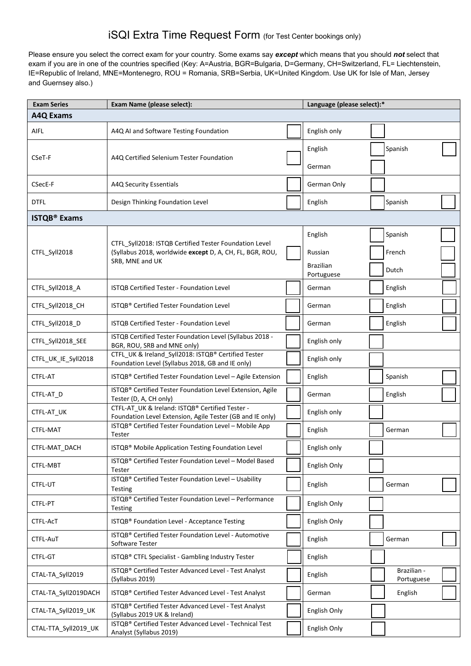## iSQI Extra Time Request Form (for Test Center bookings only)

Please ensure you select the correct exam for your country. Some exams say *except* which means that you should *not* select that exam if you are in one of the countries specified (Key: A=Austria, BGR=Bulgaria, D=Germany, CH=Switzerland, FL= Liechtenstein, IE=Republic of Ireland, MNE=Montenegro, ROU = Romania, SRB=Serbia, UK=United Kingdom. Use UK for Isle of Man, Jersey and Guernsey also.)

| <b>Exam Series</b>             | Exam Name (please select):                                                                                                            | Language (please select):* |                                |  |                           |  |
|--------------------------------|---------------------------------------------------------------------------------------------------------------------------------------|----------------------------|--------------------------------|--|---------------------------|--|
| <b>A4Q Exams</b>               |                                                                                                                                       |                            |                                |  |                           |  |
| AIFL                           | A4Q AI and Software Testing Foundation                                                                                                |                            | English only                   |  |                           |  |
| CSeT-F                         |                                                                                                                                       |                            | English                        |  | Spanish                   |  |
|                                | A4Q Certified Selenium Tester Foundation                                                                                              |                            | German                         |  |                           |  |
| CSecE-F                        | A4Q Security Essentials                                                                                                               |                            | German Only                    |  |                           |  |
| <b>DTFL</b>                    | Design Thinking Foundation Level                                                                                                      |                            | English                        |  | Spanish                   |  |
| <b>ISTQB<sup>®</sup></b> Exams |                                                                                                                                       |                            |                                |  |                           |  |
|                                | CTFL_Syll2018: ISTQB Certified Tester Foundation Level<br>(Syllabus 2018, worldwide except D, A, CH, FL, BGR, ROU,<br>SRB, MNE and UK |                            | English                        |  | Spanish                   |  |
| CTFL_Syll2018                  |                                                                                                                                       |                            | Russian                        |  | French                    |  |
|                                |                                                                                                                                       |                            | <b>Brazilian</b><br>Portuguese |  | Dutch                     |  |
| CTFL Syll2018 A                | ISTQB Certified Tester - Foundation Level                                                                                             |                            | German                         |  | English                   |  |
| CTFL_Syll2018_CH               | ISTQB® Certified Tester Foundation Level                                                                                              |                            | German                         |  | English                   |  |
| CTFL_Syll2018_D                | ISTQB Certified Tester - Foundation Level                                                                                             |                            | German                         |  | English                   |  |
| CTFL_Syll2018_SEE              | ISTQB Certified Tester Foundation Level (Syllabus 2018 -<br>BGR, ROU, SRB and MNE only)                                               |                            | English only                   |  |                           |  |
| CTFL_UK_IE_Syll2018            | CTFL UK & Ireland Syll2018: ISTQB® Certified Tester<br>Foundation Level (Syllabus 2018, GB and IE only)                               |                            | English only                   |  |                           |  |
| CTFL-AT                        | ISTQB® Certified Tester Foundation Level - Agile Extension                                                                            |                            | English                        |  | Spanish                   |  |
| CTFL-AT_D                      | ISTQB® Certified Tester Foundation Level Extension, Agile<br>Tester (D, A, CH only)                                                   |                            | German                         |  | English                   |  |
| CTFL-AT_UK                     | CTFL-AT UK & Ireland: ISTQB® Certified Tester -<br>Foundation Level Extension, Agile Tester (GB and IE only)                          |                            | English only                   |  |                           |  |
| CTFL-MAT                       | ISTQB® Certified Tester Foundation Level - Mobile App<br>Tester                                                                       |                            | English                        |  | German                    |  |
| CTFL-MAT DACH                  | ISTQB <sup>®</sup> Mobile Application Testing Foundation Level                                                                        |                            | English only                   |  |                           |  |
| CTFL-MBT                       | ISTQB® Certified Tester Foundation Level - Model Based<br>Tester                                                                      |                            | English Only                   |  |                           |  |
| CTFL-UT                        | ISTQB® Certified Tester Foundation Level - Usability<br>Testing                                                                       |                            | English                        |  | German                    |  |
| CTFL-PT                        | ISTQB® Certified Tester Foundation Level - Performance<br>Testing                                                                     |                            | English Only                   |  |                           |  |
| CTFL-AcT                       | ISTQB® Foundation Level - Acceptance Testing                                                                                          |                            | English Only                   |  |                           |  |
| CTFL-AuT                       | ISTQB® Certified Tester Foundation Level - Automotive<br>Software Tester                                                              |                            | English                        |  | German                    |  |
| CTFL-GT                        | ISTQB® CTFL Specialist - Gambling Industry Tester                                                                                     |                            | English                        |  |                           |  |
| CTAL-TA_Syll2019               | ISTQB® Certified Tester Advanced Level - Test Analyst<br>(Syllabus 2019)                                                              |                            | English                        |  | Brazilian -<br>Portuguese |  |
| CTAL-TA_Syll2019DACH           | ISTQB® Certified Tester Advanced Level - Test Analyst                                                                                 |                            | German                         |  | English                   |  |
| CTAL-TA_Syll2019_UK            | ISTQB® Certified Tester Advanced Level - Test Analyst<br>(Syllabus 2019 UK & Ireland)                                                 |                            | English Only                   |  |                           |  |
| CTAL-TTA_Syll2019_UK           | ISTQB® Certified Tester Advanced Level - Technical Test<br>Analyst (Syllabus 2019)                                                    |                            | English Only                   |  |                           |  |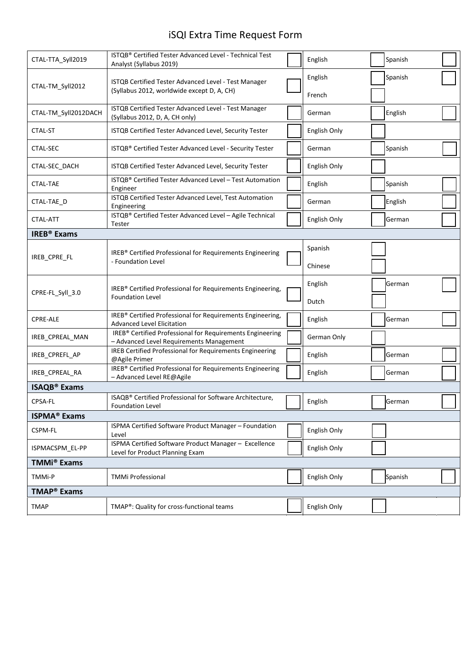## iSQI Extra Time Request Form

| CTAL-TTA_Syll2019              | ISTQB® Certified Tester Advanced Level - Technical Test<br>Analyst (Syllabus 2019)                    |  | English          |  | Spanish |  |  |
|--------------------------------|-------------------------------------------------------------------------------------------------------|--|------------------|--|---------|--|--|
| CTAL-TM_Syll2012               | ISTQB Certified Tester Advanced Level - Test Manager<br>(Syllabus 2012, worldwide except D, A, CH)    |  | English          |  | Spanish |  |  |
| CTAL-TM_Syll2012DACH           | ISTQB Certified Tester Advanced Level - Test Manager<br>(Syllabus 2012, D, A, CH only)                |  | French<br>German |  | English |  |  |
| CTAL-ST                        | ISTQB Certified Tester Advanced Level, Security Tester                                                |  | English Only     |  |         |  |  |
| CTAL-SEC                       | ISTQB® Certified Tester Advanced Level - Security Tester                                              |  | German           |  | Spanish |  |  |
| CTAL-SEC DACH                  | ISTQB Certified Tester Advanced Level, Security Tester                                                |  | English Only     |  |         |  |  |
| <b>CTAL-TAE</b>                | ISTQB® Certified Tester Advanced Level - Test Automation<br>Engineer                                  |  | English          |  | Spanish |  |  |
| CTAL-TAE D                     | ISTQB Certified Tester Advanced Level, Test Automation<br>Engineering                                 |  | German           |  | English |  |  |
| CTAL-ATT                       | ISTQB® Certified Tester Advanced Level - Agile Technical<br>Tester                                    |  | English Only     |  | German  |  |  |
| <b>IREB<sup>®</sup></b> Exams  |                                                                                                       |  |                  |  |         |  |  |
|                                | IREB® Certified Professional for Requirements Engineering<br>- Foundation Level                       |  | Spanish          |  |         |  |  |
| IREB_CPRE_FL                   |                                                                                                       |  | Chinese          |  |         |  |  |
| CPRE-FL_Syll_3.0               | IREB® Certified Professional for Requirements Engineering,<br><b>Foundation Level</b>                 |  | English          |  | German  |  |  |
|                                |                                                                                                       |  | Dutch            |  |         |  |  |
| <b>CPRE-ALE</b>                | IREB® Certified Professional for Requirements Engineering,<br><b>Advanced Level Elicitation</b>       |  | English          |  | German  |  |  |
| IREB CPREAL MAN                | IREB® Certified Professional for Requirements Engineering<br>- Advanced Level Requirements Management |  | German Only      |  |         |  |  |
| IREB_CPREFL_AP                 | IREB Certified Professional for Requirements Engineering<br>@Agile Primer                             |  | English          |  | German  |  |  |
| IREB_CPREAL_RA                 | IREB® Certified Professional for Requirements Engineering<br>- Advanced Level RE@Agile                |  | English          |  | German  |  |  |
| <b>ISAQB<sup>®</sup></b> Exams |                                                                                                       |  |                  |  |         |  |  |
| CPSA-FL                        | ISAQB® Certified Professional for Software Architecture,<br>Foundation Level                          |  | English          |  | German  |  |  |
| <b>ISPMA<sup>®</sup> Exams</b> |                                                                                                       |  |                  |  |         |  |  |
| CSPM-FL                        | ISPMA Certified Software Product Manager - Foundation<br>Level                                        |  | English Only     |  |         |  |  |
| ISPMACSPM_EL-PP                | ISPMA Certified Software Product Manager - Excellence<br>Level for Product Planning Exam              |  | English Only     |  |         |  |  |
| <b>TMMi<sup>®</sup> Exams</b>  |                                                                                                       |  |                  |  |         |  |  |
| TMMi-P                         | <b>TMMi Professional</b>                                                                              |  | English Only     |  | Spanish |  |  |
| <b>TMAP<sup>®</sup></b> Exams  |                                                                                                       |  |                  |  |         |  |  |
| <b>TMAP</b>                    | TMAP®: Quality for cross-functional teams                                                             |  | English Only     |  |         |  |  |
|                                |                                                                                                       |  |                  |  |         |  |  |